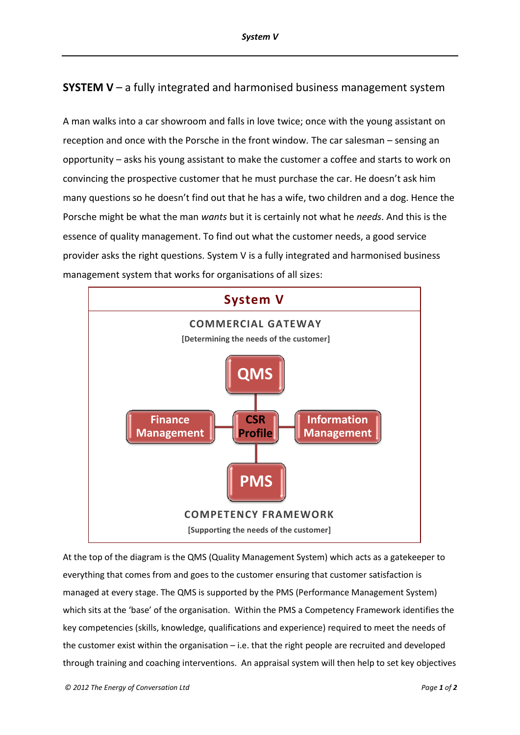## **SYSTEM V** – a fully integrated and harmonised business management system

A man walks into a car showroom and falls in love twice; once with the young assistant on reception and once with the Porsche in the front window. The car salesman – sensing an opportunity – asks his young assistant to make the customer a coffee and starts to work on convincing the prospective customer that he must purchase the car. He doesn't ask him many questions so he doesn't find out that he has a wife, two children and a dog. Hence the Porsche might be what the man *wants* but it is certainly not what he *needs*. And this is the essence of quality management. To find out what the customer needs, a good service provider asks the right questions. System V is a fully integrated and harmonised business management system that works for organisations of all sizes:



At the top of the diagram is the QMS (Quality Management System) which acts as a gatekeeper to everything that comes from and goes to the customer ensuring that customer satisfaction is managed at every stage. The QMS is supported by the PMS (Performance Management System) which sits at the 'base' of the organisation. Within the PMS a Competency Framework identifies the key competencies (skills, knowledge, qualifications and experience) required to meet the needs of the customer exist within the organisation – i.e. that the right people are recruited and developed through training and coaching interventions. An appraisal system will then help to set key objectives